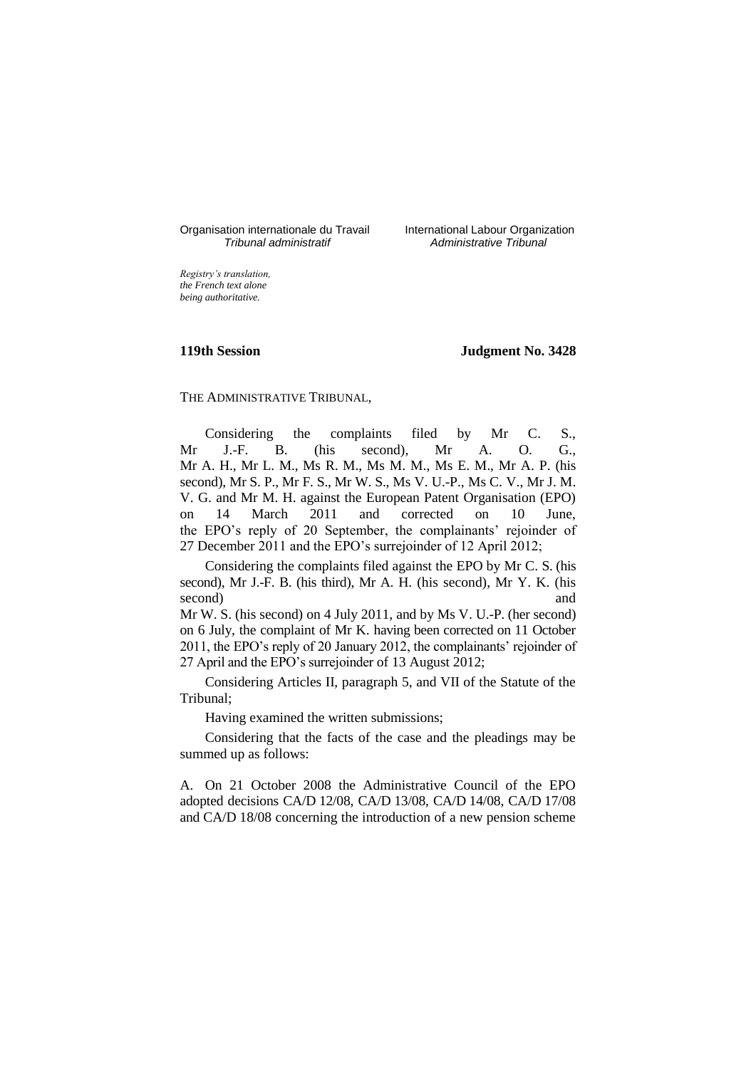# Organisation internationale du Travail International Labour Organization<br>*Tribunal administratif Administrative Tribunal*

*Tribunal administratif Administrative Tribunal*

*Registry's translation, the French text alone being authoritative.*

## **119th Session Judgment No. 3428**

THE ADMINISTRATIVE TRIBUNAL,

Considering the complaints filed by Mr C. S., Mr J.-F. B. (his second), Mr A. O. G., Mr A. H., Mr L. M., Ms R. M., Ms M. M., Ms E. M., Mr A. P. (his second), Mr S. P., Mr F. S., Mr W. S., Ms V. U.-P., Ms C. V., Mr J. M. V. G. and Mr M. H. against the European Patent Organisation (EPO) on 14 March 2011 and corrected on 10 June, the EPO's reply of 20 September, the complainants' rejoinder of 27 December 2011 and the EPO's surrejoinder of 12 April 2012;

Considering the complaints filed against the EPO by Mr C. S. (his second), Mr J.-F. B. (his third), Mr A. H. (his second), Mr Y. K. (his second) and

Mr W. S. (his second) on 4 July 2011, and by Ms V. U.-P. (her second) on 6 July, the complaint of Mr K. having been corrected on 11 October 2011, the EPO's reply of 20 January 2012, the complainants' rejoinder of 27 April and the EPO's surrejoinder of 13 August 2012;

Considering Articles II, paragraph 5, and VII of the Statute of the Tribunal;

Having examined the written submissions;

Considering that the facts of the case and the pleadings may be summed up as follows:

A. On 21 October 2008 the Administrative Council of the EPO adopted decisions CA/D 12/08, CA/D 13/08, CA/D 14/08, CA/D 17/08 and CA/D 18/08 concerning the introduction of a new pension scheme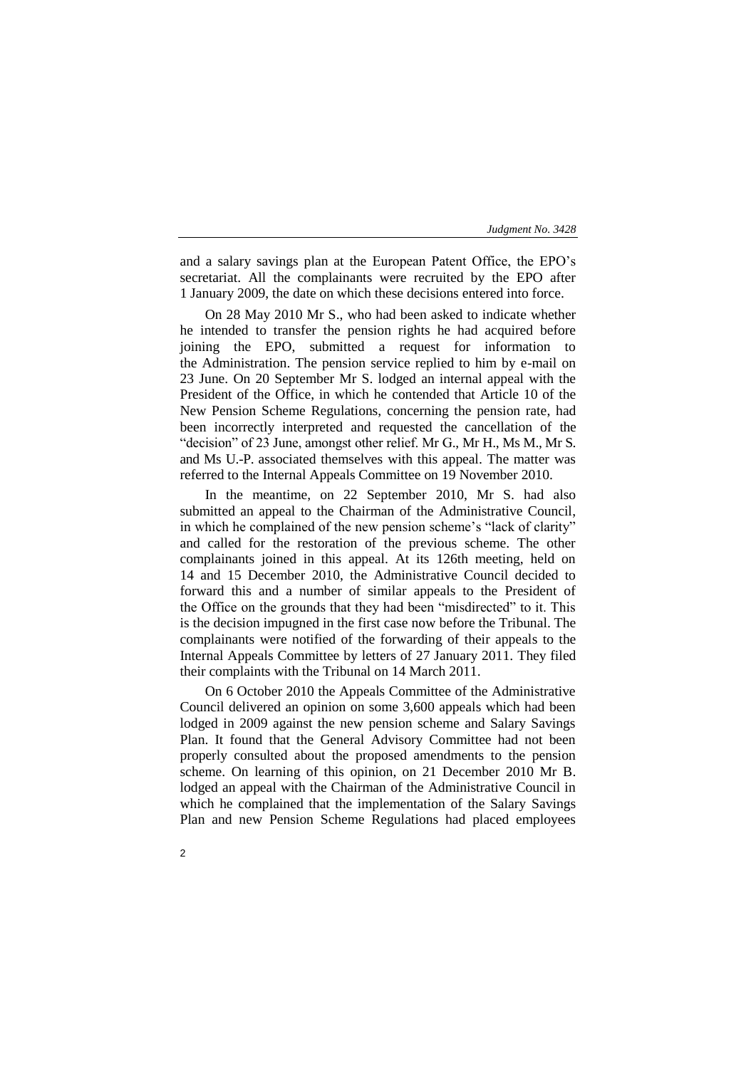and a salary savings plan at the European Patent Office, the EPO's secretariat. All the complainants were recruited by the EPO after 1 January 2009, the date on which these decisions entered into force.

On 28 May 2010 Mr S., who had been asked to indicate whether he intended to transfer the pension rights he had acquired before joining the EPO, submitted a request for information to the Administration. The pension service replied to him by e-mail on 23 June. On 20 September Mr S. lodged an internal appeal with the President of the Office, in which he contended that Article 10 of the New Pension Scheme Regulations, concerning the pension rate, had been incorrectly interpreted and requested the cancellation of the "decision" of 23 June, amongst other relief. Mr G., Mr H., Ms M., Mr S. and Ms U.-P. associated themselves with this appeal. The matter was referred to the Internal Appeals Committee on 19 November 2010.

In the meantime, on 22 September 2010, Mr S. had also submitted an appeal to the Chairman of the Administrative Council, in which he complained of the new pension scheme's "lack of clarity" and called for the restoration of the previous scheme. The other complainants joined in this appeal. At its 126th meeting, held on 14 and 15 December 2010, the Administrative Council decided to forward this and a number of similar appeals to the President of the Office on the grounds that they had been "misdirected" to it. This is the decision impugned in the first case now before the Tribunal. The complainants were notified of the forwarding of their appeals to the Internal Appeals Committee by letters of 27 January 2011. They filed their complaints with the Tribunal on 14 March 2011.

On 6 October 2010 the Appeals Committee of the Administrative Council delivered an opinion on some 3,600 appeals which had been lodged in 2009 against the new pension scheme and Salary Savings Plan. It found that the General Advisory Committee had not been properly consulted about the proposed amendments to the pension scheme. On learning of this opinion, on 21 December 2010 Mr B. lodged an appeal with the Chairman of the Administrative Council in which he complained that the implementation of the Salary Savings Plan and new Pension Scheme Regulations had placed employees

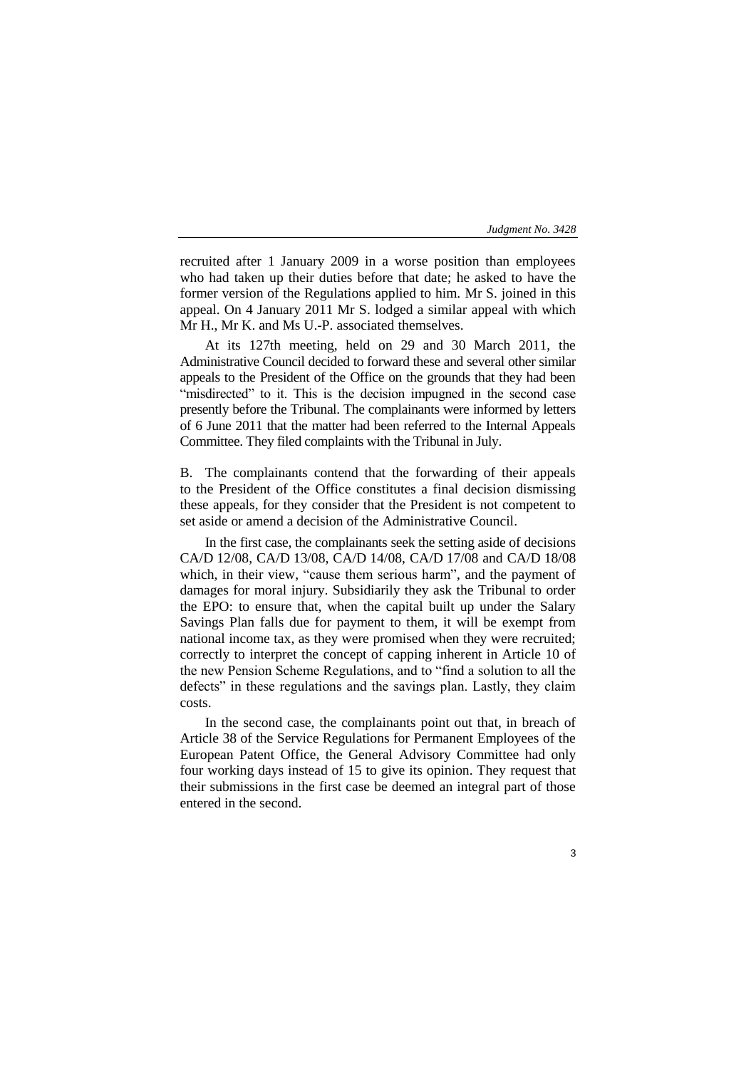recruited after 1 January 2009 in a worse position than employees who had taken up their duties before that date; he asked to have the former version of the Regulations applied to him. Mr S. joined in this appeal. On 4 January 2011 Mr S. lodged a similar appeal with which Mr H., Mr K. and Ms U.-P. associated themselves.

At its 127th meeting, held on 29 and 30 March 2011, the Administrative Council decided to forward these and several other similar appeals to the President of the Office on the grounds that they had been "misdirected" to it. This is the decision impugned in the second case presently before the Tribunal. The complainants were informed by letters of 6 June 2011 that the matter had been referred to the Internal Appeals Committee. They filed complaints with the Tribunal in July.

B. The complainants contend that the forwarding of their appeals to the President of the Office constitutes a final decision dismissing these appeals, for they consider that the President is not competent to set aside or amend a decision of the Administrative Council.

In the first case, the complainants seek the setting aside of decisions CA/D 12/08, CA/D 13/08, CA/D 14/08, CA/D 17/08 and CA/D 18/08 which, in their view, "cause them serious harm", and the payment of damages for moral injury. Subsidiarily they ask the Tribunal to order the EPO: to ensure that, when the capital built up under the Salary Savings Plan falls due for payment to them, it will be exempt from national income tax, as they were promised when they were recruited; correctly to interpret the concept of capping inherent in Article 10 of the new Pension Scheme Regulations, and to "find a solution to all the defects" in these regulations and the savings plan. Lastly, they claim costs.

In the second case, the complainants point out that, in breach of Article 38 of the Service Regulations for Permanent Employees of the European Patent Office, the General Advisory Committee had only four working days instead of 15 to give its opinion. They request that their submissions in the first case be deemed an integral part of those entered in the second.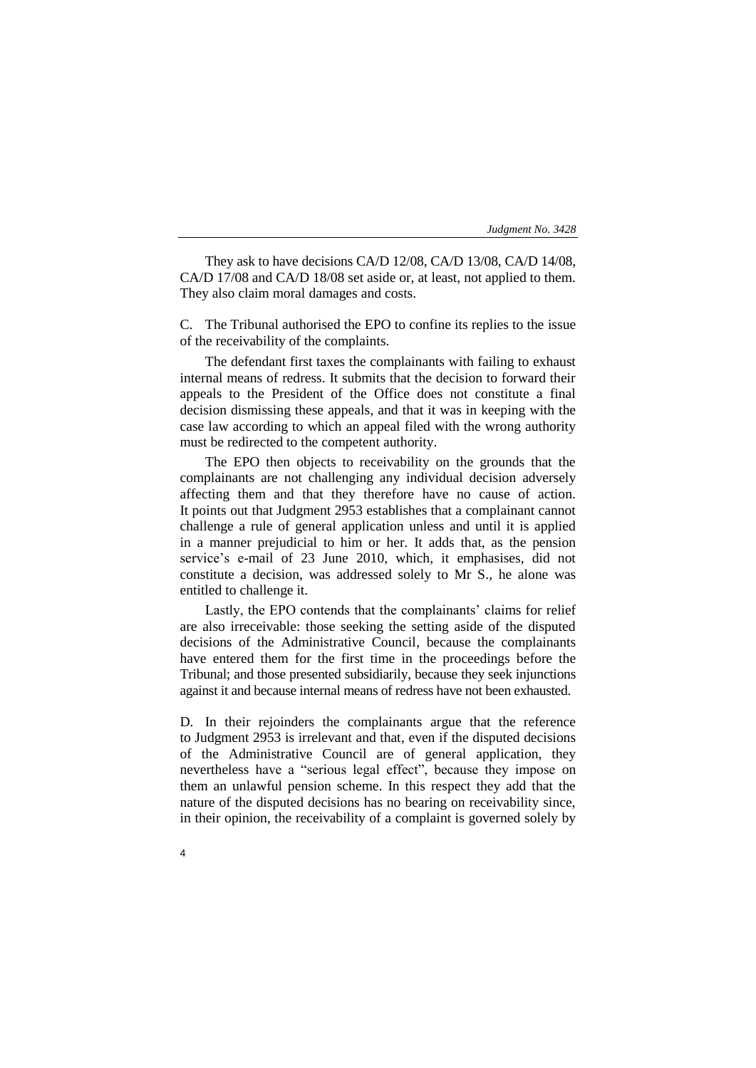They ask to have decisions CA/D 12/08, CA/D 13/08, CA/D 14/08, CA/D 17/08 and CA/D 18/08 set aside or, at least, not applied to them. They also claim moral damages and costs.

C. The Tribunal authorised the EPO to confine its replies to the issue of the receivability of the complaints.

The defendant first taxes the complainants with failing to exhaust internal means of redress. It submits that the decision to forward their appeals to the President of the Office does not constitute a final decision dismissing these appeals, and that it was in keeping with the case law according to which an appeal filed with the wrong authority must be redirected to the competent authority.

The EPO then objects to receivability on the grounds that the complainants are not challenging any individual decision adversely affecting them and that they therefore have no cause of action. It points out that Judgment 2953 establishes that a complainant cannot challenge a rule of general application unless and until it is applied in a manner prejudicial to him or her. It adds that, as the pension service's e-mail of 23 June 2010, which, it emphasises, did not constitute a decision, was addressed solely to Mr S., he alone was entitled to challenge it.

Lastly, the EPO contends that the complainants' claims for relief are also irreceivable: those seeking the setting aside of the disputed decisions of the Administrative Council, because the complainants have entered them for the first time in the proceedings before the Tribunal; and those presented subsidiarily, because they seek injunctions against it and because internal means of redress have not been exhausted.

D. In their rejoinders the complainants argue that the reference to Judgment 2953 is irrelevant and that, even if the disputed decisions of the Administrative Council are of general application, they nevertheless have a "serious legal effect", because they impose on them an unlawful pension scheme. In this respect they add that the nature of the disputed decisions has no bearing on receivability since, in their opinion, the receivability of a complaint is governed solely by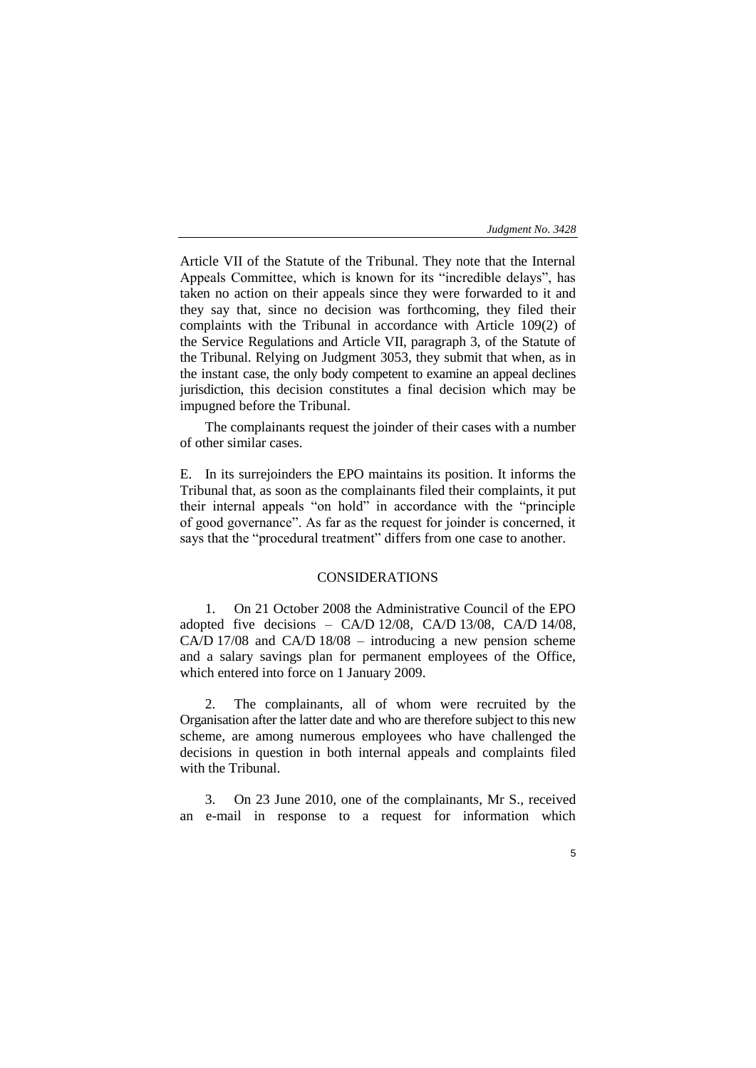Article VII of the Statute of the Tribunal. They note that the Internal Appeals Committee, which is known for its "incredible delays", has taken no action on their appeals since they were forwarded to it and they say that, since no decision was forthcoming, they filed their complaints with the Tribunal in accordance with Article 109(2) of the Service Regulations and Article VII, paragraph 3, of the Statute of the Tribunal. Relying on Judgment 3053, they submit that when, as in the instant case, the only body competent to examine an appeal declines jurisdiction, this decision constitutes a final decision which may be impugned before the Tribunal.

The complainants request the joinder of their cases with a number of other similar cases.

E. In its surrejoinders the EPO maintains its position. It informs the Tribunal that, as soon as the complainants filed their complaints, it put their internal appeals "on hold" in accordance with the "principle of good governance". As far as the request for joinder is concerned, it says that the "procedural treatment" differs from one case to another.

# CONSIDERATIONS

1. On 21 October 2008 the Administrative Council of the EPO adopted five decisions – CA/D 12/08, CA/D 13/08, CA/D 14/08, CA/D 17/08 and CA/D 18/08 – introducing a new pension scheme and a salary savings plan for permanent employees of the Office, which entered into force on 1 January 2009.

2. The complainants, all of whom were recruited by the Organisation after the latter date and who are therefore subject to this new scheme, are among numerous employees who have challenged the decisions in question in both internal appeals and complaints filed with the Tribunal.

3. On 23 June 2010, one of the complainants, Mr S., received an e-mail in response to a request for information which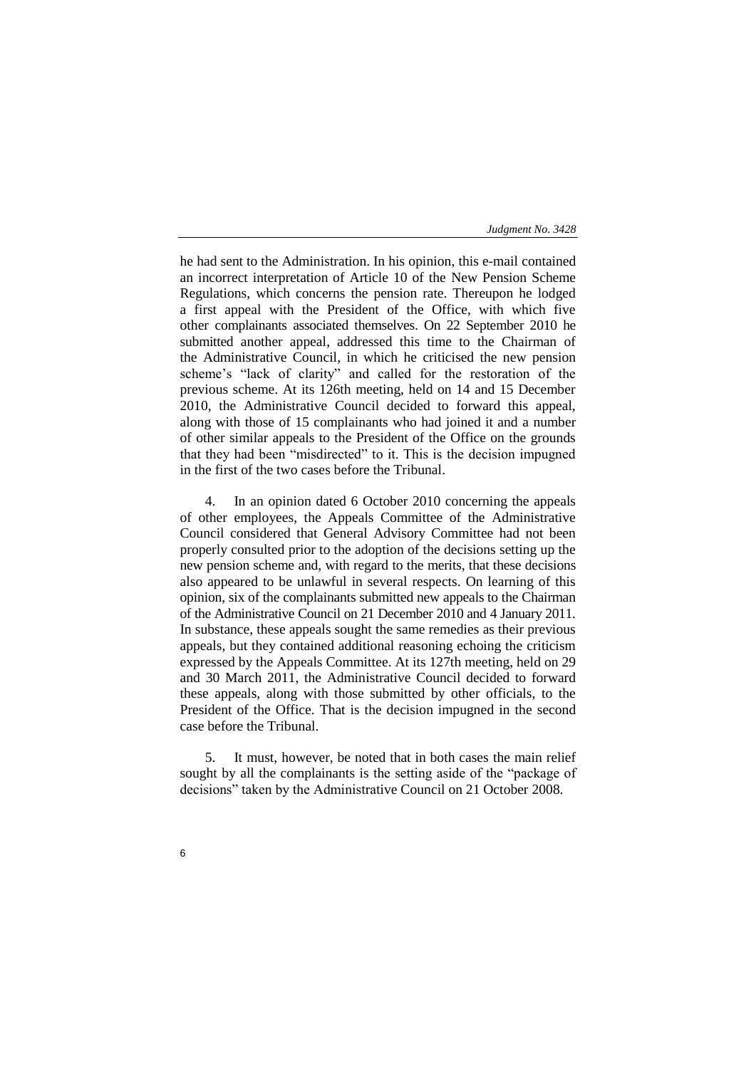he had sent to the Administration. In his opinion, this e-mail contained an incorrect interpretation of Article 10 of the New Pension Scheme Regulations, which concerns the pension rate. Thereupon he lodged a first appeal with the President of the Office, with which five other complainants associated themselves. On 22 September 2010 he submitted another appeal, addressed this time to the Chairman of the Administrative Council, in which he criticised the new pension scheme's "lack of clarity" and called for the restoration of the previous scheme. At its 126th meeting, held on 14 and 15 December 2010, the Administrative Council decided to forward this appeal, along with those of 15 complainants who had joined it and a number of other similar appeals to the President of the Office on the grounds that they had been "misdirected" to it. This is the decision impugned in the first of the two cases before the Tribunal.

4. In an opinion dated 6 October 2010 concerning the appeals of other employees, the Appeals Committee of the Administrative Council considered that General Advisory Committee had not been properly consulted prior to the adoption of the decisions setting up the new pension scheme and, with regard to the merits, that these decisions also appeared to be unlawful in several respects. On learning of this opinion, six of the complainants submitted new appeals to the Chairman of the Administrative Council on 21 December 2010 and 4 January 2011. In substance, these appeals sought the same remedies as their previous appeals, but they contained additional reasoning echoing the criticism expressed by the Appeals Committee. At its 127th meeting, held on 29 and 30 March 2011, the Administrative Council decided to forward these appeals, along with those submitted by other officials, to the President of the Office. That is the decision impugned in the second case before the Tribunal.

5. It must, however, be noted that in both cases the main relief sought by all the complainants is the setting aside of the "package of decisions" taken by the Administrative Council on 21 October 2008.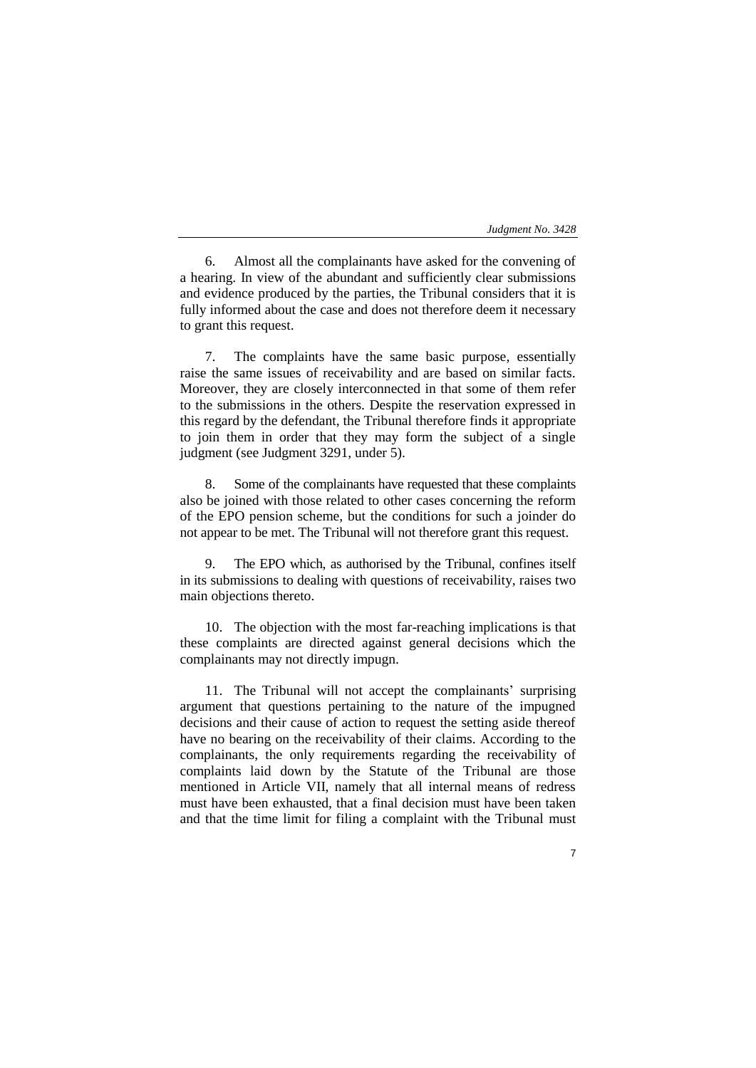7

6. Almost all the complainants have asked for the convening of a hearing. In view of the abundant and sufficiently clear submissions and evidence produced by the parties, the Tribunal considers that it is fully informed about the case and does not therefore deem it necessary to grant this request.

7. The complaints have the same basic purpose, essentially raise the same issues of receivability and are based on similar facts. Moreover, they are closely interconnected in that some of them refer to the submissions in the others. Despite the reservation expressed in this regard by the defendant, the Tribunal therefore finds it appropriate to join them in order that they may form the subject of a single judgment (see Judgment 3291, under 5).

8. Some of the complainants have requested that these complaints also be joined with those related to other cases concerning the reform of the EPO pension scheme, but the conditions for such a joinder do not appear to be met. The Tribunal will not therefore grant this request.

9. The EPO which, as authorised by the Tribunal, confines itself in its submissions to dealing with questions of receivability, raises two main objections thereto.

10. The objection with the most far-reaching implications is that these complaints are directed against general decisions which the complainants may not directly impugn.

11. The Tribunal will not accept the complainants' surprising argument that questions pertaining to the nature of the impugned decisions and their cause of action to request the setting aside thereof have no bearing on the receivability of their claims. According to the complainants, the only requirements regarding the receivability of complaints laid down by the Statute of the Tribunal are those mentioned in Article VII, namely that all internal means of redress must have been exhausted, that a final decision must have been taken and that the time limit for filing a complaint with the Tribunal must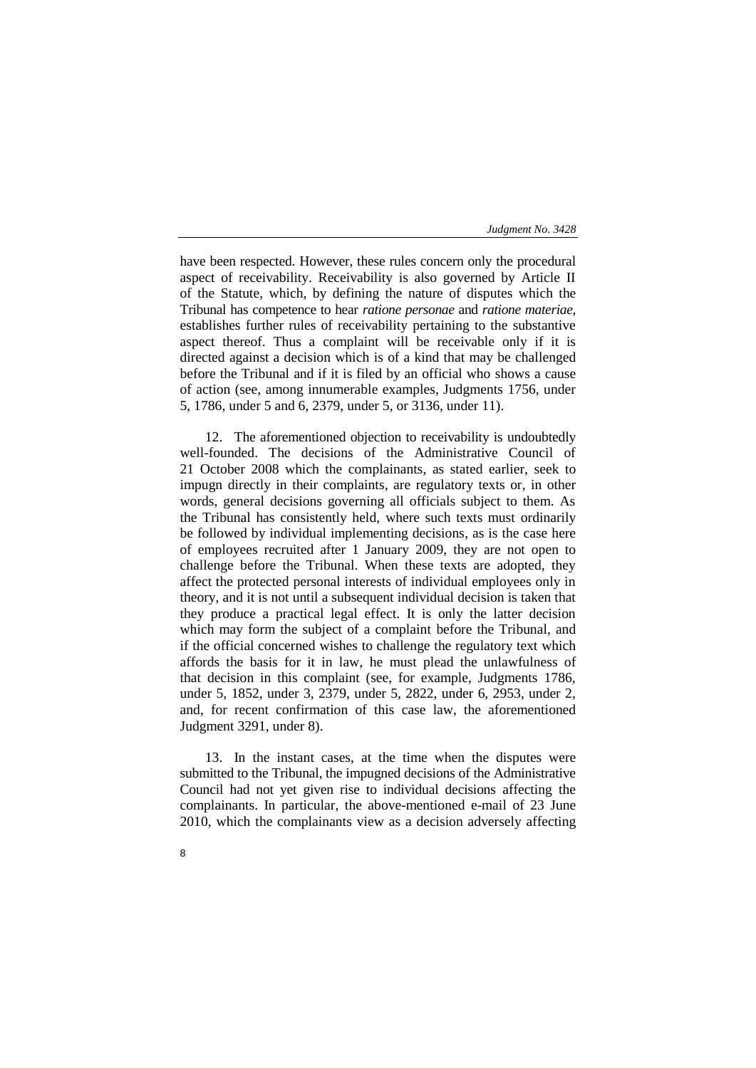have been respected. However, these rules concern only the procedural aspect of receivability. Receivability is also governed by Article II of the Statute, which, by defining the nature of disputes which the Tribunal has competence to hear *ratione personae* and *ratione materiae*, establishes further rules of receivability pertaining to the substantive aspect thereof. Thus a complaint will be receivable only if it is directed against a decision which is of a kind that may be challenged before the Tribunal and if it is filed by an official who shows a cause of action (see, among innumerable examples, Judgments 1756, under 5, 1786, under 5 and 6, 2379, under 5, or 3136, under 11).

12. The aforementioned objection to receivability is undoubtedly well-founded. The decisions of the Administrative Council of 21 October 2008 which the complainants, as stated earlier, seek to impugn directly in their complaints, are regulatory texts or, in other words, general decisions governing all officials subject to them. As the Tribunal has consistently held, where such texts must ordinarily be followed by individual implementing decisions, as is the case here of employees recruited after 1 January 2009, they are not open to challenge before the Tribunal. When these texts are adopted, they affect the protected personal interests of individual employees only in theory, and it is not until a subsequent individual decision is taken that they produce a practical legal effect. It is only the latter decision which may form the subject of a complaint before the Tribunal, and if the official concerned wishes to challenge the regulatory text which affords the basis for it in law, he must plead the unlawfulness of that decision in this complaint (see, for example, Judgments 1786, under 5, 1852, under 3, 2379, under 5, 2822, under 6, 2953, under 2, and, for recent confirmation of this case law, the aforementioned Judgment 3291, under 8).

13. In the instant cases, at the time when the disputes were submitted to the Tribunal, the impugned decisions of the Administrative Council had not yet given rise to individual decisions affecting the complainants. In particular, the above-mentioned e-mail of 23 June 2010, which the complainants view as a decision adversely affecting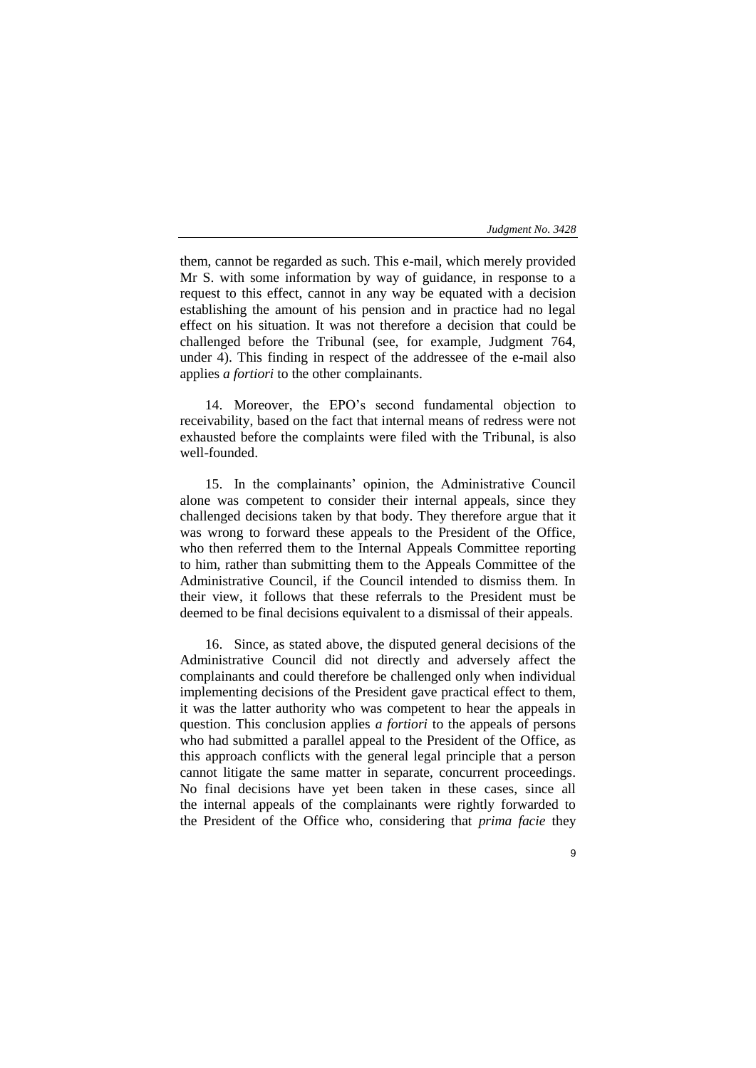9

them, cannot be regarded as such. This e-mail, which merely provided Mr S. with some information by way of guidance, in response to a request to this effect, cannot in any way be equated with a decision establishing the amount of his pension and in practice had no legal effect on his situation. It was not therefore a decision that could be challenged before the Tribunal (see, for example, Judgment 764, under 4). This finding in respect of the addressee of the e-mail also applies *a fortiori* to the other complainants.

14. Moreover, the EPO's second fundamental objection to receivability, based on the fact that internal means of redress were not exhausted before the complaints were filed with the Tribunal, is also well-founded.

15. In the complainants' opinion, the Administrative Council alone was competent to consider their internal appeals, since they challenged decisions taken by that body. They therefore argue that it was wrong to forward these appeals to the President of the Office, who then referred them to the Internal Appeals Committee reporting to him, rather than submitting them to the Appeals Committee of the Administrative Council, if the Council intended to dismiss them. In their view, it follows that these referrals to the President must be deemed to be final decisions equivalent to a dismissal of their appeals.

16. Since, as stated above, the disputed general decisions of the Administrative Council did not directly and adversely affect the complainants and could therefore be challenged only when individual implementing decisions of the President gave practical effect to them, it was the latter authority who was competent to hear the appeals in question. This conclusion applies *a fortiori* to the appeals of persons who had submitted a parallel appeal to the President of the Office, as this approach conflicts with the general legal principle that a person cannot litigate the same matter in separate, concurrent proceedings. No final decisions have yet been taken in these cases, since all the internal appeals of the complainants were rightly forwarded to the President of the Office who, considering that *prima facie* they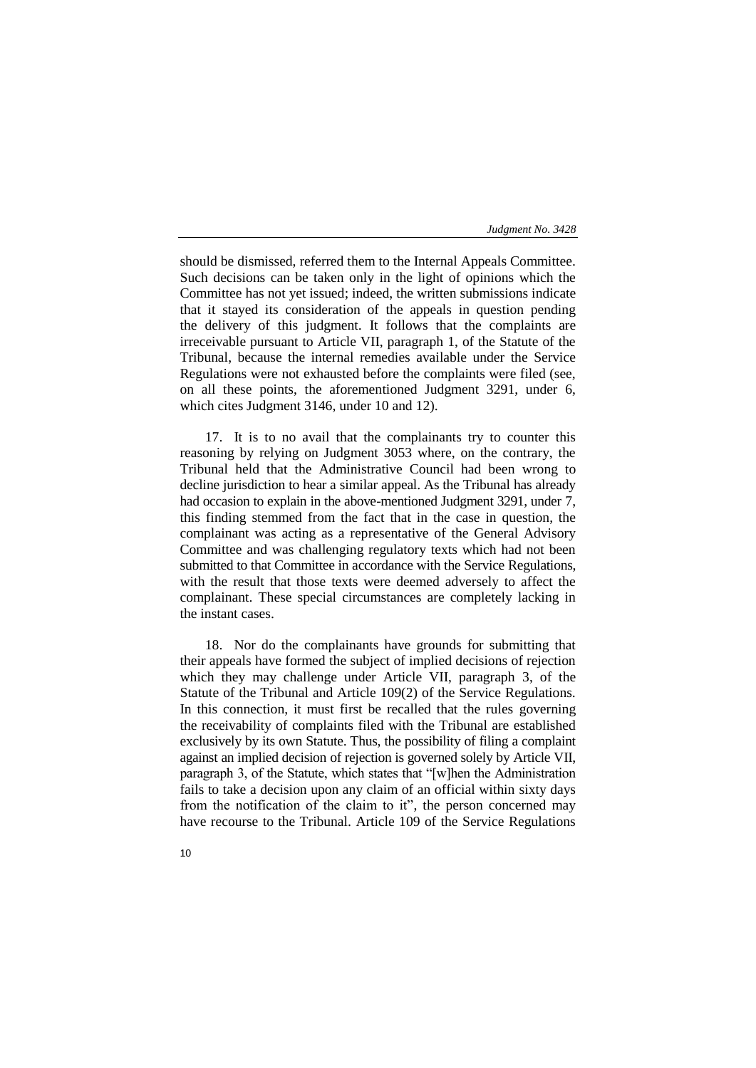should be dismissed, referred them to the Internal Appeals Committee. Such decisions can be taken only in the light of opinions which the Committee has not yet issued; indeed, the written submissions indicate that it stayed its consideration of the appeals in question pending the delivery of this judgment. It follows that the complaints are irreceivable pursuant to Article VII, paragraph 1, of the Statute of the Tribunal, because the internal remedies available under the Service Regulations were not exhausted before the complaints were filed (see, on all these points, the aforementioned Judgment 3291, under 6, which cites Judgment 3146, under 10 and 12).

17. It is to no avail that the complainants try to counter this reasoning by relying on Judgment 3053 where, on the contrary, the Tribunal held that the Administrative Council had been wrong to decline jurisdiction to hear a similar appeal. As the Tribunal has already had occasion to explain in the above-mentioned Judgment 3291, under 7, this finding stemmed from the fact that in the case in question, the complainant was acting as a representative of the General Advisory Committee and was challenging regulatory texts which had not been submitted to that Committee in accordance with the Service Regulations, with the result that those texts were deemed adversely to affect the complainant. These special circumstances are completely lacking in the instant cases.

18. Nor do the complainants have grounds for submitting that their appeals have formed the subject of implied decisions of rejection which they may challenge under Article VII, paragraph 3, of the Statute of the Tribunal and Article 109(2) of the Service Regulations. In this connection, it must first be recalled that the rules governing the receivability of complaints filed with the Tribunal are established exclusively by its own Statute. Thus, the possibility of filing a complaint against an implied decision of rejection is governed solely by Article VII, paragraph 3, of the Statute, which states that "[w]hen the Administration fails to take a decision upon any claim of an official within sixty days from the notification of the claim to it", the person concerned may have recourse to the Tribunal. Article 109 of the Service Regulations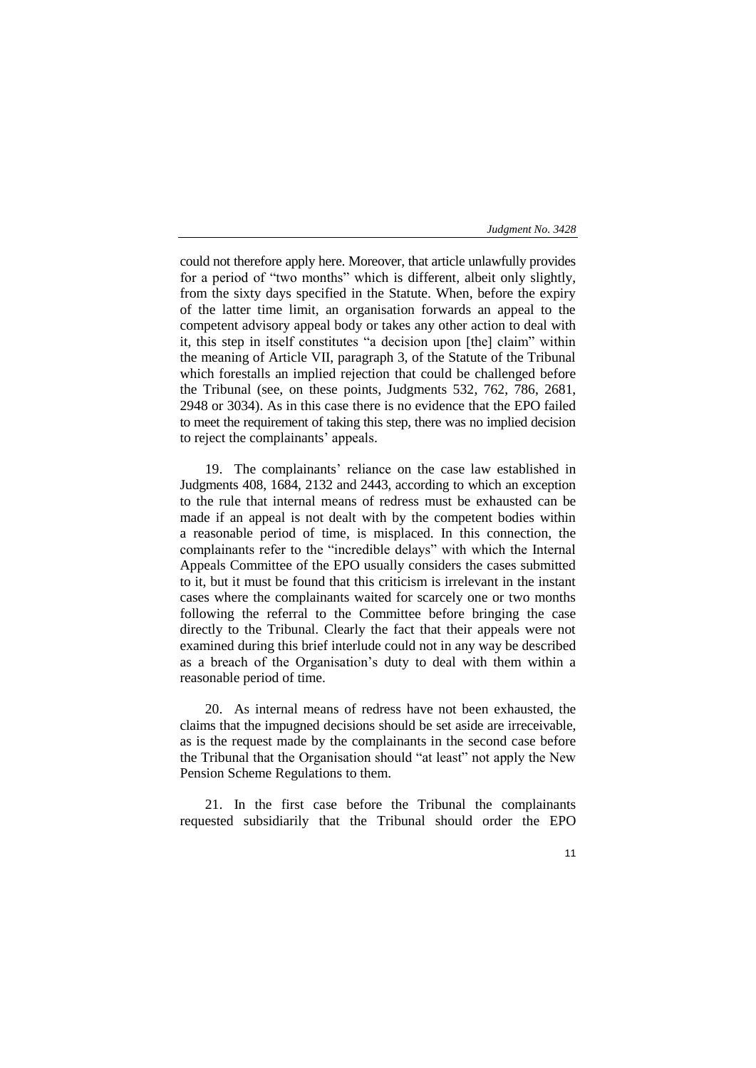could not therefore apply here. Moreover, that article unlawfully provides for a period of "two months" which is different, albeit only slightly, from the sixty days specified in the Statute. When, before the expiry of the latter time limit, an organisation forwards an appeal to the competent advisory appeal body or takes any other action to deal with it, this step in itself constitutes "a decision upon [the] claim" within the meaning of Article VII, paragraph 3, of the Statute of the Tribunal which forestalls an implied rejection that could be challenged before the Tribunal (see, on these points, Judgments 532, 762, 786, 2681, 2948 or 3034). As in this case there is no evidence that the EPO failed to meet the requirement of taking this step, there was no implied decision to reject the complainants' appeals.

19. The complainants' reliance on the case law established in Judgments 408, 1684, 2132 and 2443, according to which an exception to the rule that internal means of redress must be exhausted can be made if an appeal is not dealt with by the competent bodies within a reasonable period of time, is misplaced. In this connection, the complainants refer to the "incredible delays" with which the Internal Appeals Committee of the EPO usually considers the cases submitted to it, but it must be found that this criticism is irrelevant in the instant cases where the complainants waited for scarcely one or two months following the referral to the Committee before bringing the case directly to the Tribunal. Clearly the fact that their appeals were not examined during this brief interlude could not in any way be described as a breach of the Organisation's duty to deal with them within a reasonable period of time.

20. As internal means of redress have not been exhausted, the claims that the impugned decisions should be set aside are irreceivable, as is the request made by the complainants in the second case before the Tribunal that the Organisation should "at least" not apply the New Pension Scheme Regulations to them.

21. In the first case before the Tribunal the complainants requested subsidiarily that the Tribunal should order the EPO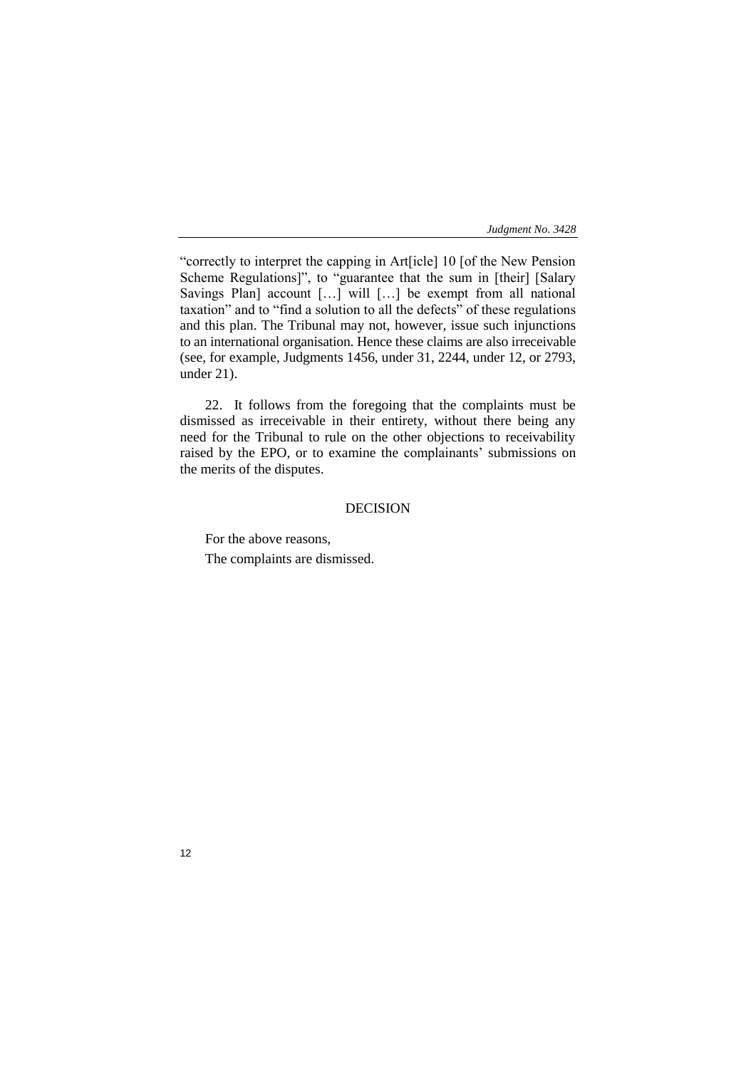"correctly to interpret the capping in Art[icle] 10 [of the New Pension Scheme Regulations]", to "guarantee that the sum in [their] [Salary Savings Plan] account […] will […] be exempt from all national taxation" and to "find a solution to all the defects" of these regulations and this plan. The Tribunal may not, however, issue such injunctions to an international organisation. Hence these claims are also irreceivable (see, for example, Judgments 1456, under 31, 2244, under 12, or 2793, under 21).

22. It follows from the foregoing that the complaints must be dismissed as irreceivable in their entirety, without there being any need for the Tribunal to rule on the other objections to receivability raised by the EPO, or to examine the complainants' submissions on the merits of the disputes.

# DECISION

For the above reasons, The complaints are dismissed.